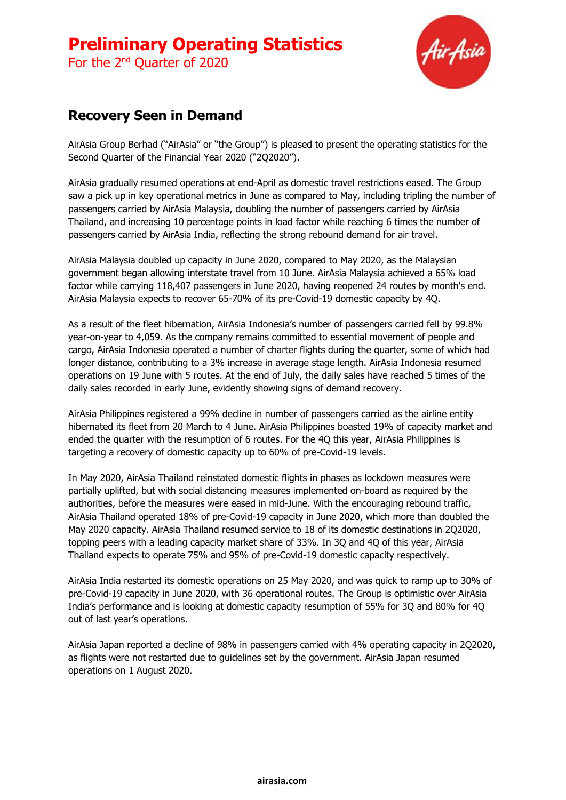For the 2<sup>nd</sup> Quarter of 2020



## **Recovery Seen in Demand**

AirAsia Group Berhad ("AirAsia" or "the Group") is pleased to present the operating statistics for the Second Quarter of the Financial Year 2020 ("2Q2020").

AirAsia gradually resumed operations at end-April as domestic travel restrictions eased. The Group saw a pick up in key operational metrics in June as compared to May, including tripling the number of passengers carried by AirAsia Malaysia, doubling the number of passengers carried by AirAsia Thailand, and increasing 10 percentage points in load factor while reaching 6 times the number of passengers carried by AirAsia India, reflecting the strong rebound demand for air travel.

AirAsia Malaysia doubled up capacity in June 2020, compared to May 2020, as the Malaysian government began allowing interstate travel from 10 June. AirAsia Malaysia achieved a 65% load factor while carrying 118,407 passengers in June 2020, having reopened 24 routes by month's end. AirAsia Malaysia expects to recover 65-70% of its pre-Covid-19 domestic capacity by 4Q.

As a result of the fleet hibernation, AirAsia Indonesia's number of passengers carried fell by 99.8% year-on-year to 4,059. As the company remains committed to essential movement of people and cargo, AirAsia Indonesia operated a number of charter flights during the quarter, some of which had longer distance, contributing to a 3% increase in average stage length. AirAsia Indonesia resumed operations on 19 June with 5 routes. At the end of July, the daily sales have reached 5 times of the daily sales recorded in early June, evidently showing signs of demand recovery.

AirAsia Philippines registered a 99% decline in number of passengers carried as the airline entity hibernated its fleet from 20 March to 4 June. AirAsia Philippines boasted 19% of capacity market and ended the quarter with the resumption of 6 routes. For the 4Q this year, AirAsia Philippines is targeting a recovery of domestic capacity up to 60% of pre-Covid-19 levels.

In May 2020, AirAsia Thailand reinstated domestic flights in phases as lockdown measures were partially uplifted, but with social distancing measures implemented on-board as required by the authorities, before the measures were eased in mid-June. With the encouraging rebound traffic, AirAsia Thailand operated 18% of pre-Covid-19 capacity in June 2020, which more than doubled the May 2020 capacity. AirAsia Thailand resumed service to 18 of its domestic destinations in 2Q2020, topping peers with a leading capacity market share of 33%. In 3Q and 4Q of this year, AirAsia Thailand expects to operate 75% and 95% of pre-Covid-19 domestic capacity respectively.

AirAsia India restarted its domestic operations on 25 May 2020, and was quick to ramp up to 30% of pre-Covid-19 capacity in June 2020, with 36 operational routes. The Group is optimistic over AirAsia India's performance and is looking at domestic capacity resumption of 55% for 3Q and 80% for 4Q out of last year's operations.

AirAsia Japan reported a decline of 98% in passengers carried with 4% operating capacity in 2Q2020, as flights were not restarted due to guidelines set by the government. AirAsia Japan resumed operations on 1 August 2020.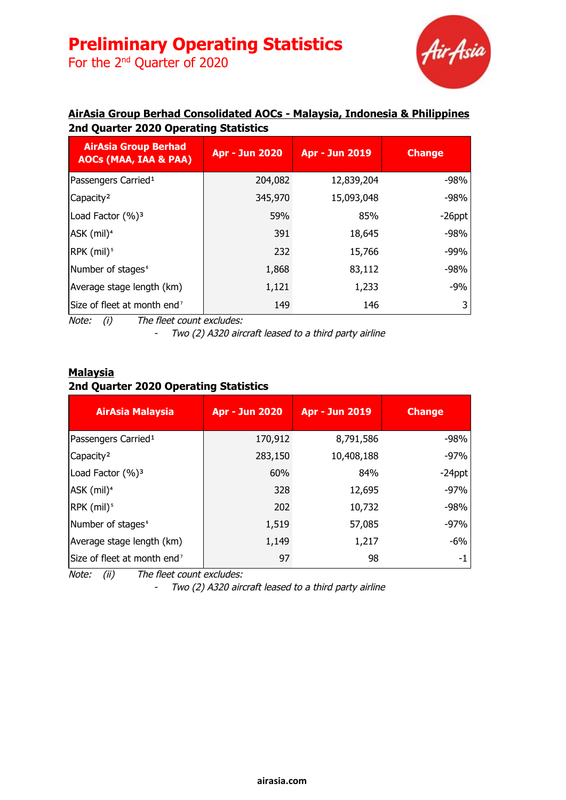For the 2<sup>nd</sup> Quarter of 2020



### **AirAsia Group Berhad Consolidated AOCs - Malaysia, Indonesia & Philippines 2nd Quarter 2020 Operating Statistics**

| <b>AirAsia Group Berhad</b><br><b>AOCs (MAA, IAA &amp; PAA)</b> | <b>Apr - Jun 2020</b> | <b>Apr - Jun 2019</b> | <b>Change</b> |
|-----------------------------------------------------------------|-----------------------|-----------------------|---------------|
| Passengers Carried <sup>1</sup>                                 | 204,082               | 12,839,204            | -98%          |
| Capacity <sup>2</sup>                                           | 345,970               | 15,093,048            | $-98%$        |
| Load Factor (%) <sup>3</sup>                                    | 59%                   | 85%                   | $-26$ ppt     |
| $ASK$ (mil) <sup>4</sup>                                        | 391                   | 18,645                | $-98%$        |
| RPK (mil) <sup>5</sup>                                          | 232                   | 15,766                | $-99%$        |
| Number of stages <sup>®</sup>                                   | 1,868                 | 83,112                | $-98%$        |
| Average stage length (km)                                       | 1,121                 | 1,233                 | $-9%$         |
| Size of fleet at month end <sup>7</sup>                         | 149                   | 146                   |               |

Note: (i) The fleet count excludes:

- Two (2) A320 aircraft leased to <sup>a</sup> third party airline

### **Malaysia 2nd Quarter 2020 Operating Statistics**

| <b>AirAsia Malaysia</b>                 | <b>Apr - Jun 2020</b> | <b>Apr - Jun 2019</b> | <b>Change</b> |
|-----------------------------------------|-----------------------|-----------------------|---------------|
| Passengers Carried <sup>1</sup>         | 170,912               | 8,791,586             | $-98%$        |
| Capacity <sup>2</sup>                   | 283,150               | 10,408,188            | $-97%$        |
| Load Factor (%) <sup>3</sup>            | 60%                   | 84%                   | $-24$ ppt     |
| ASK (mil) <sup>4</sup>                  | 328                   | 12,695                | $-97%$        |
| RPK (mil) <sup>5</sup>                  | 202                   | 10,732                | $-98%$        |
| Number of stages <sup>6</sup>           | 1,519                 | 57,085                | $-97%$        |
| Average stage length (km)               | 1,149                 | 1,217                 | $-6\%$        |
| Size of fleet at month end <sup>7</sup> | 97                    | 98                    | -1            |

Note: (ii) The fleet count excludes:

- Two (2) A320 aircraft leased to <sup>a</sup> third party airline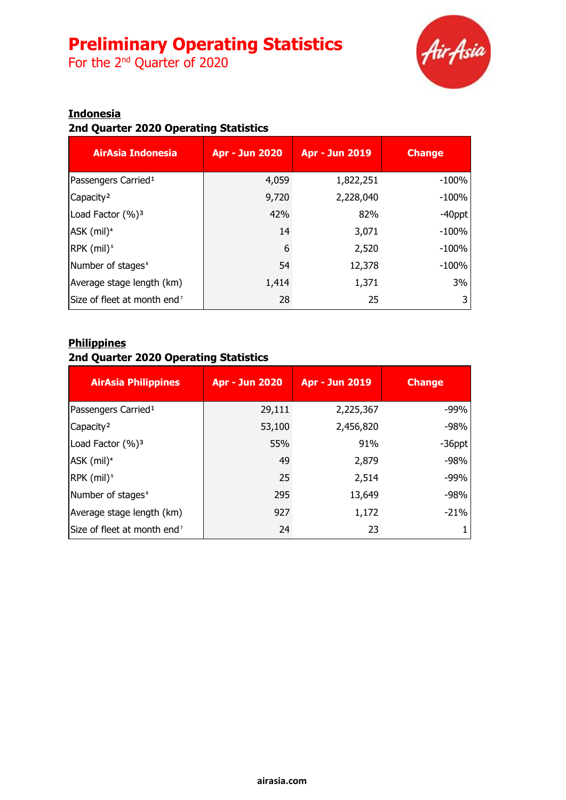For the 2<sup>nd</sup> Quarter of 2020



### **Indonesia**

### **2nd Quarter 2020 Operating Statistics**

| AirAsia Indonesia                       | <b>Apr - Jun 2020</b> | <b>Apr - Jun 2019</b> | <b>Change</b> |
|-----------------------------------------|-----------------------|-----------------------|---------------|
| Passengers Carried <sup>1</sup>         | 4,059                 | 1,822,251             | $-100%$       |
| Capacity <sup>2</sup>                   | 9,720                 | 2,228,040             | $-100%$       |
| Load Factor (%) <sup>3</sup>            | 42%                   | 82%                   | $-40$ ppt     |
| ASK (mil) <sup>4</sup>                  | 14                    | 3,071                 | $-100%$       |
| RPK (mil) <sup>5</sup>                  | 6                     | 2,520                 | $-100%$       |
| Number of stages <sup>6</sup>           | 54                    | 12,378                | $-100%$       |
| Average stage length (km)               | 1,414                 | 1,371                 | 3%            |
| Size of fleet at month end <sup>7</sup> | 28                    | 25                    |               |

#### **Philippines**

### **2nd Quarter 2020 Operating Statistics**

| <b>AirAsia Philippines</b>              | <b>Apr - Jun 2020</b> | <b>Apr - Jun 2019</b> | <b>Change</b> |
|-----------------------------------------|-----------------------|-----------------------|---------------|
| Passengers Carried <sup>1</sup>         | 29,111                | 2,225,367             | $-99%$        |
| Capacity <sup>2</sup>                   | 53,100                | 2,456,820             | $-98%$        |
| Load Factor (%) <sup>3</sup>            | 55%                   | 91%                   | $-36$ ppt     |
| ASK (mil) <sup>4</sup>                  | 49                    | 2,879                 | $-98%$        |
| RPK (mil) <sup>5</sup>                  | 25                    | 2,514                 | $-99%$        |
| Number of stages <sup>6</sup>           | 295                   | 13,649                | -98%          |
| Average stage length (km)               | 927                   | 1,172                 | $-21%$        |
| Size of fleet at month end <sup>7</sup> | 24                    | 23                    |               |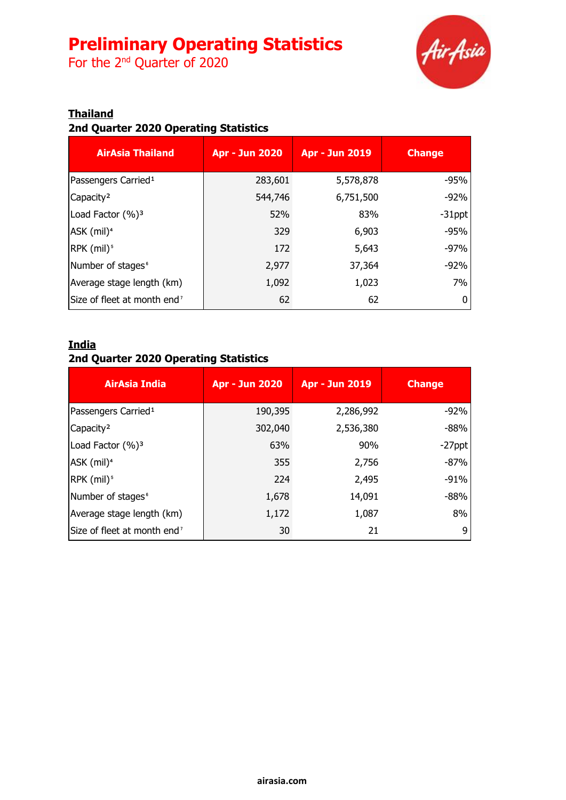For the 2<sup>nd</sup> Quarter of 2020



### **Thailand**

### **2nd Quarter 2020 Operating Statistics**

| <b>AirAsia Thailand</b>                 | <b>Apr - Jun 2020</b> | <b>Apr - Jun 2019</b> | <b>Change</b> |
|-----------------------------------------|-----------------------|-----------------------|---------------|
| Passengers Carried <sup>1</sup>         | 283,601               | 5,578,878             | $-95%$        |
| Capacity <sup>2</sup>                   | 544,746               | 6,751,500             | $-92%$        |
| Load Factor (%) <sup>3</sup>            | 52%                   | 83%                   | $-31$ ppt     |
| ASK (mil) <sup>4</sup>                  | 329                   | 6,903                 | $-95%$        |
| $RPK$ (mil) <sup>5</sup>                | 172                   | 5,643                 | $-97%$        |
| Number of stages <sup>6</sup>           | 2,977                 | 37,364                | $-92%$        |
| Average stage length (km)               | 1,092                 | 1,023                 | 7%            |
| Size of fleet at month end <sup>7</sup> | 62                    | 62                    |               |

### **India**

### **2nd Quarter 2020 Operating Statistics**

| AirAsia India                           | <b>Apr - Jun 2020</b> | <b>Apr - Jun 2019</b> | <b>Change</b> |
|-----------------------------------------|-----------------------|-----------------------|---------------|
| Passengers Carried <sup>1</sup>         | 190,395               | 2,286,992             | $-92%$        |
| Capacity <sup>2</sup>                   | 302,040               | 2,536,380             | $-88%$        |
| Load Factor (%) <sup>3</sup>            | 63%                   | 90%                   | $-27$ ppt     |
| ASK (mil) <sup>4</sup>                  | 355                   | 2,756                 | $-87%$        |
| RPK (mil) <sup>5</sup>                  | 224                   | 2,495                 | $-91%$        |
| Number of stages <sup>6</sup>           | 1,678                 | 14,091                | $-88%$        |
| Average stage length (km)               | 1,172                 | 1,087                 | 8%            |
| Size of fleet at month end <sup>7</sup> | 30                    | 21                    | 9             |